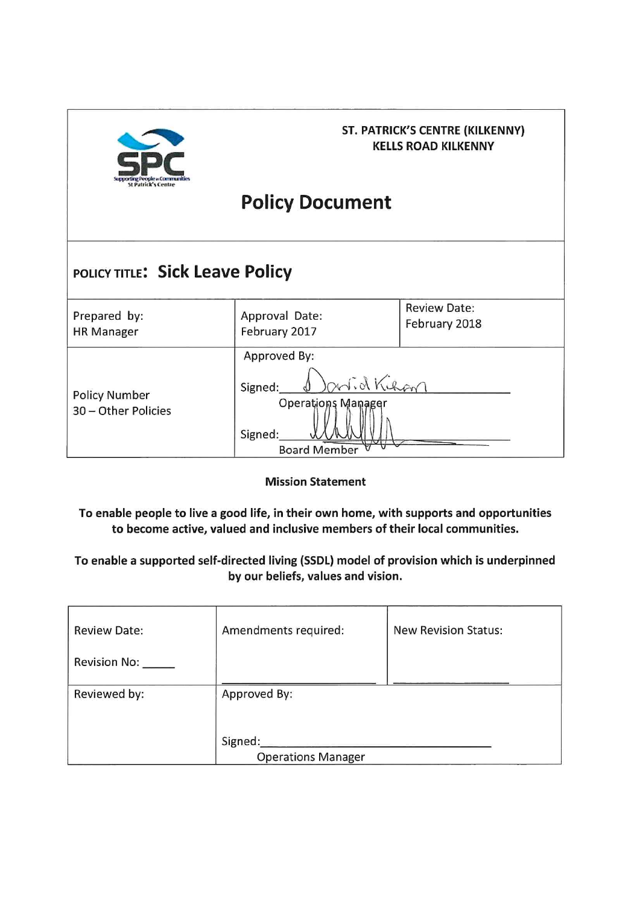

# **ST. PATRICK'S CENTRE (KILKENNY) KELLS ROAD KILKENNY**

# **Policy Document**

| POLICY TITLE: Sick Leave Policy             |                                                                                                |                                      |  |
|---------------------------------------------|------------------------------------------------------------------------------------------------|--------------------------------------|--|
| Prepared by:<br><b>HR Manager</b>           | Approval Date:<br>February 2017                                                                | <b>Review Date:</b><br>February 2018 |  |
| <b>Policy Number</b><br>30 - Other Policies | Approved By:<br>notid Kihan<br>Signed:<br>Operations Manager<br>Signed:<br><b>Board Member</b> |                                      |  |

**Mission Statement** 

To enable people to live a good life, in their own home, with supports and opportunities to become active, valued and inclusive members of their local communities.

To enable a supported self-directed living (SSDL) model of provision which is underpinned by our beliefs, values and vision.

| <b>Review Date:</b> | Amendments required:      | <b>New Revision Status:</b> |
|---------------------|---------------------------|-----------------------------|
| <b>Revision No:</b> |                           |                             |
| Reviewed by:        | Approved By:              |                             |
|                     |                           |                             |
|                     | Signed:                   |                             |
|                     | <b>Operations Manager</b> |                             |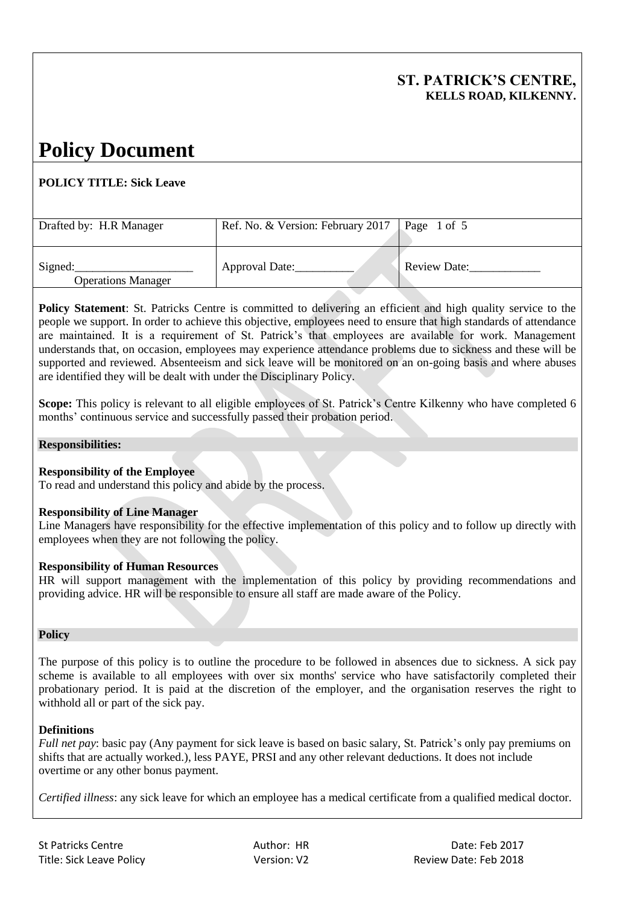**Policy Statement:** St. Patricks Centre is committed to delivering an efficient and high quality service to the people we support. In order to achieve this objective, employees need to ensure that high standards of attendance are maintained. It is a requirement of St. Patrick's that employees are available for work. Management understands that, on occasion, employees may experience attendance problems due to sickness and these will be supported and reviewed. Absenteeism and sick leave will be monitored on an on-going basis and where abuses are identified they will be dealt with under the Disciplinary Policy.

**Scope:** This policy is relevant to all eligible employees of St. Patrick's Centre Kilkenny who have completed 6 months' continuous service and successfully passed their probation period.

#### **Responsibilities:**

#### **Responsibility of the Employee**

To read and understand this policy and abide by the process.

#### **Responsibility of Line Manager**

Line Managers have responsibility for the effective implementation of this policy and to follow up directly with employees when they are not following the policy.

#### **Responsibility of Human Resources**

HR will support management with the implementation of this policy by providing recommendations and providing advice. HR will be responsible to ensure all staff are made aware of the Policy.

#### **Policy**

The purpose of this policy is to outline the procedure to be followed in absences due to sickness. A sick pay scheme is available to all employees with over six months' service who have satisfactorily completed their probationary period. It is paid at the discretion of the employer, and the organisation reserves the right to withhold all or part of the sick pay.

#### **Definitions**

*Full net pay*: basic pay (Any payment for sick leave is based on basic salary, St. Patrick's only pay premiums on shifts that are actually worked.), less PAYE, PRSI and any other relevant deductions. It does not include overtime or any other bonus payment.

*Certified illness*: any sick leave for which an employee has a medical certificate from a qualified medical doctor.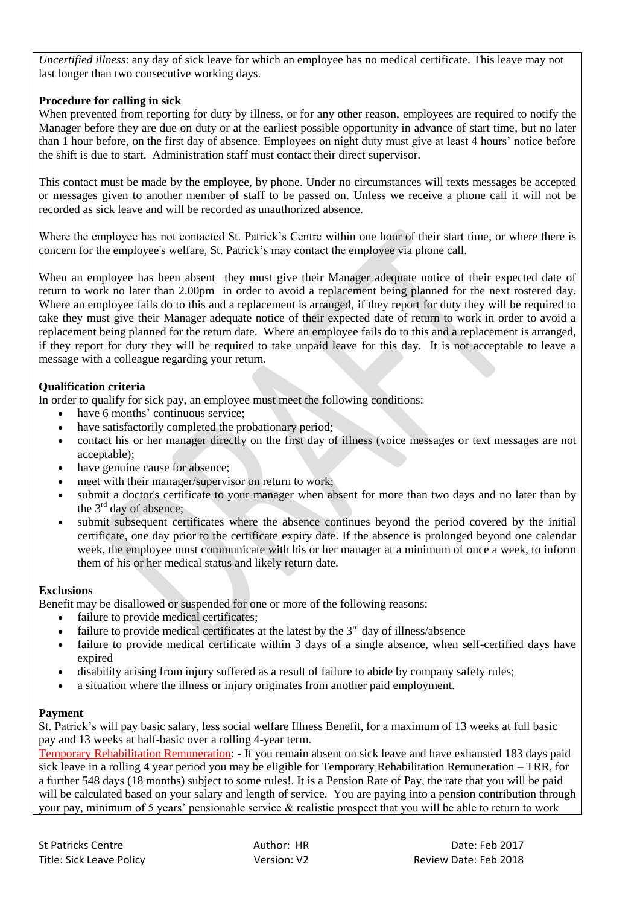*Uncertified illness*: any day of sick leave for which an employee has no medical certificate. This leave may not last longer than two consecutive working days.

## **Procedure for calling in sick**

When prevented from reporting for duty by illness, or for any other reason, employees are required to notify the Manager before they are due on duty or at the earliest possible opportunity in advance of start time, but no later than 1 hour before, on the first day of absence. Employees on night duty must give at least 4 hours' notice before the shift is due to start. Administration staff must contact their direct supervisor.

This contact must be made by the employee, by phone. Under no circumstances will texts messages be accepted or messages given to another member of staff to be passed on. Unless we receive a phone call it will not be recorded as sick leave and will be recorded as unauthorized absence.

Where the employee has not contacted St. Patrick's Centre within one hour of their start time, or where there is concern for the employee's welfare, St. Patrick's may contact the employee via phone call.

When an employee has been absent they must give their Manager adequate notice of their expected date of return to work no later than 2.00pm in order to avoid a replacement being planned for the next rostered day. Where an employee fails do to this and a replacement is arranged, if they report for duty they will be required to take they must give their Manager adequate notice of their expected date of return to work in order to avoid a replacement being planned for the return date. Where an employee fails do to this and a replacement is arranged, if they report for duty they will be required to take unpaid leave for this day. It is not acceptable to leave a message with a colleague regarding your return.

# **Qualification criteria**

In order to qualify for sick pay, an employee must meet the following conditions:

- have 6 months' continuous service;
- have satisfactorily completed the probationary period;
- contact his or her manager directly on the first day of illness (voice messages or text messages are not acceptable);
- have genuine cause for absence;
- meet with their manager/supervisor on return to work;
- submit a doctor's certificate to your manager when absent for more than two days and no later than by the  $3<sup>rd</sup>$  day of absence;
- submit subsequent certificates where the absence continues beyond the period covered by the initial certificate, one day prior to the certificate expiry date. If the absence is prolonged beyond one calendar week, the employee must communicate with his or her manager at a minimum of once a week, to inform them of his or her medical status and likely return date.

### **Exclusions**

Benefit may be disallowed or suspended for one or more of the following reasons:

- failure to provide medical certificates;
- failure to provide medical certificates at the latest by the  $3<sup>rd</sup>$  day of illness/absence
- failure to provide medical certificate within 3 days of a single absence, when self-certified days have expired
- disability arising from injury suffered as a result of failure to abide by company safety rules;
- a situation where the illness or injury originates from another paid employment.

### **Payment**

St. Patrick's will pay basic salary, less social welfare Illness Benefit, for a maximum of 13 weeks at full basic pay and 13 weeks at half-basic over a rolling 4-year term.

Temporary Rehabilitation Remuneration: - If you remain absent on sick leave and have exhausted 183 days paid sick leave in a rolling 4 year period you may be eligible for Temporary Rehabilitation Remuneration – TRR, for a further 548 days (18 months) subject to some rules!. It is a Pension Rate of Pay, the rate that you will be paid will be calculated based on your salary and length of service. You are paying into a pension contribution through your pay, minimum of 5 years' pensionable service & realistic prospect that you will be able to return to work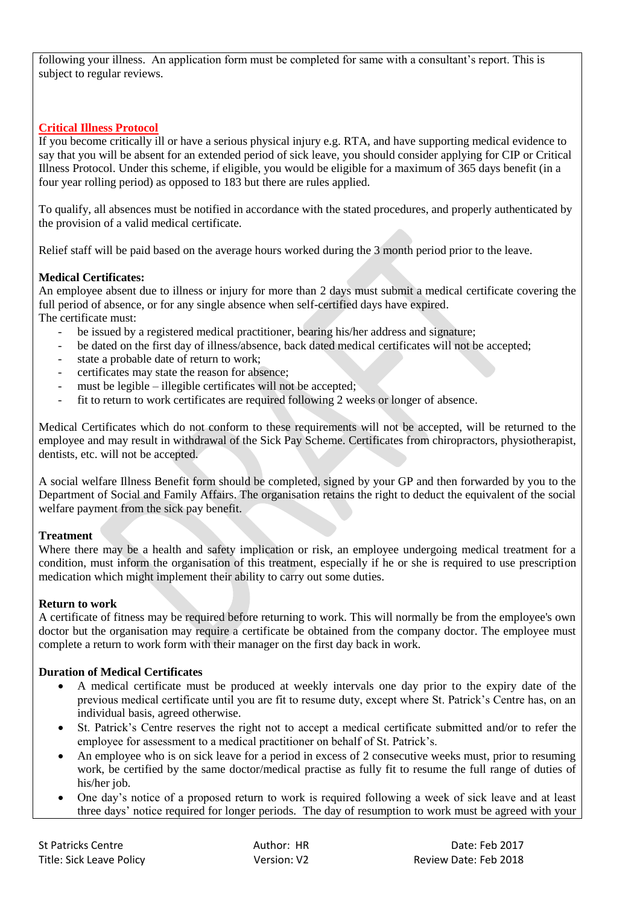following your illness. An application form must be completed for same with a consultant's report. This is subject to regular reviews.

## **Critical Illness Protocol**

If you become critically ill or have a serious physical injury e.g. RTA, and have supporting medical evidence to say that you will be absent for an extended period of sick leave, you should consider applying for CIP or Critical Illness Protocol. Under this scheme, if eligible, you would be eligible for a maximum of 365 days benefit (in a four year rolling period) as opposed to 183 but there are rules applied.

To qualify, all absences must be notified in accordance with the stated procedures, and properly authenticated by the provision of a valid medical certificate.

Relief staff will be paid based on the average hours worked during the 3 month period prior to the leave.

### **Medical Certificates:**

An employee absent due to illness or injury for more than 2 days must submit a medical certificate covering the full period of absence, or for any single absence when self-certified days have expired. The certificate must:

- be issued by a registered medical practitioner, bearing his/her address and signature;
- be dated on the first day of illness/absence, back dated medical certificates will not be accepted;
- state a probable date of return to work:
- certificates may state the reason for absence;
- must be legible illegible certificates will not be accepted;
- fit to return to work certificates are required following 2 weeks or longer of absence.

Medical Certificates which do not conform to these requirements will not be accepted, will be returned to the employee and may result in withdrawal of the Sick Pay Scheme. Certificates from chiropractors, physiotherapist, dentists, etc. will not be accepted.

A social welfare Illness Benefit form should be completed, signed by your GP and then forwarded by you to the Department of Social and Family Affairs. The organisation retains the right to deduct the equivalent of the social welfare payment from the sick pay benefit.

### **Treatment**

Where there may be a health and safety implication or risk, an employee undergoing medical treatment for a condition, must inform the organisation of this treatment, especially if he or she is required to use prescription medication which might implement their ability to carry out some duties.

#### **Return to work**

A certificate of fitness may be required before returning to work. This will normally be from the employee's own doctor but the organisation may require a certificate be obtained from the company doctor. The employee must complete a return to work form with their manager on the first day back in work.

#### **Duration of Medical Certificates**

- A medical certificate must be produced at weekly intervals one day prior to the expiry date of the previous medical certificate until you are fit to resume duty, except where St. Patrick's Centre has, on an individual basis, agreed otherwise.
- St. Patrick's Centre reserves the right not to accept a medical certificate submitted and/or to refer the employee for assessment to a medical practitioner on behalf of St. Patrick's.
- An employee who is on sick leave for a period in excess of 2 consecutive weeks must, prior to resuming work, be certified by the same doctor/medical practise as fully fit to resume the full range of duties of his/her job.
- One day's notice of a proposed return to work is required following a week of sick leave and at least three days' notice required for longer periods. The day of resumption to work must be agreed with your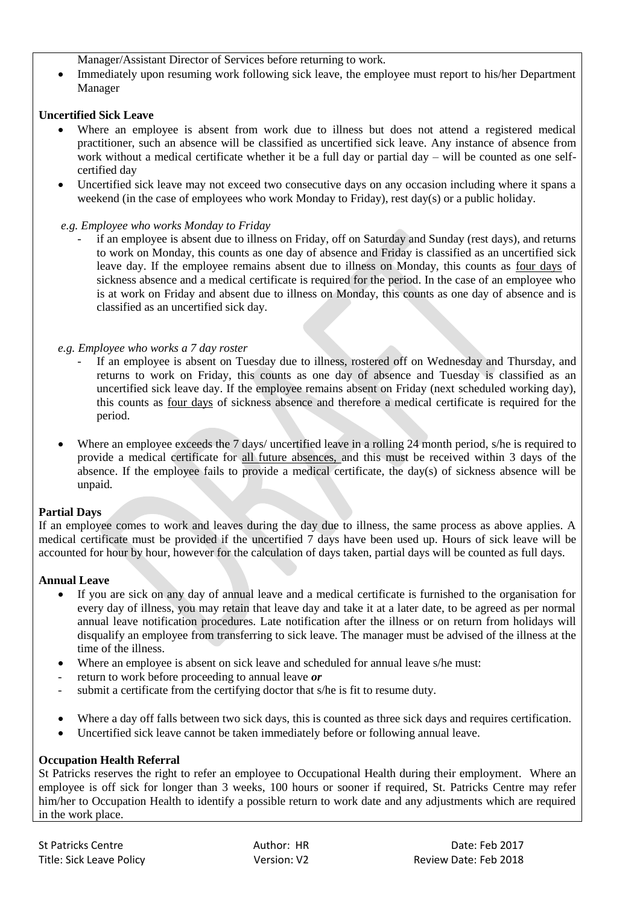Manager/Assistant Director of Services before returning to work.

 Immediately upon resuming work following sick leave, the employee must report to his/her Department Manager

### **Uncertified Sick Leave**

- Where an employee is absent from work due to illness but does not attend a registered medical practitioner, such an absence will be classified as uncertified sick leave. Any instance of absence from work without a medical certificate whether it be a full day or partial day – will be counted as one selfcertified day
- Uncertified sick leave may not exceed two consecutive days on any occasion including where it spans a weekend (in the case of employees who work Monday to Friday), rest day(s) or a public holiday.

### *e.g. Employee who works Monday to Friday*

if an employee is absent due to illness on Friday, off on Saturday and Sunday (rest days), and returns to work on Monday, this counts as one day of absence and Friday is classified as an uncertified sick leave day. If the employee remains absent due to illness on Monday, this counts as four days of sickness absence and a medical certificate is required for the period. In the case of an employee who is at work on Friday and absent due to illness on Monday, this counts as one day of absence and is classified as an uncertified sick day.

### *e.g. Employee who works a 7 day roster*

- If an employee is absent on Tuesday due to illness, rostered off on Wednesday and Thursday, and returns to work on Friday, this counts as one day of absence and Tuesday is classified as an uncertified sick leave day. If the employee remains absent on Friday (next scheduled working day), this counts as four days of sickness absence and therefore a medical certificate is required for the period.
- Where an employee exceeds the 7 days/ uncertified leave in a rolling 24 month period, s/he is required to provide a medical certificate for all future absences, and this must be received within 3 days of the absence. If the employee fails to provide a medical certificate, the day(s) of sickness absence will be unpaid.

### **Partial Days**

If an employee comes to work and leaves during the day due to illness, the same process as above applies. A medical certificate must be provided if the uncertified 7 days have been used up. Hours of sick leave will be accounted for hour by hour, however for the calculation of days taken, partial days will be counted as full days.

### **Annual Leave**

- If you are sick on any day of annual leave and a medical certificate is furnished to the organisation for every day of illness, you may retain that leave day and take it at a later date, to be agreed as per normal annual leave notification procedures. Late notification after the illness or on return from holidays will disqualify an employee from transferring to sick leave. The manager must be advised of the illness at the time of the illness.
- Where an employee is absent on sick leave and scheduled for annual leave s/he must:
- return to work before proceeding to annual leave *or*
- submit a certificate from the certifying doctor that s/he is fit to resume duty.
- Where a day off falls between two sick days, this is counted as three sick days and requires certification.
- Uncertified sick leave cannot be taken immediately before or following annual leave.

### **Occupation Health Referral**

St Patricks reserves the right to refer an employee to Occupational Health during their employment. Where an employee is off sick for longer than 3 weeks, 100 hours or sooner if required, St. Patricks Centre may refer him/her to Occupation Health to identify a possible return to work date and any adjustments which are required in the work place.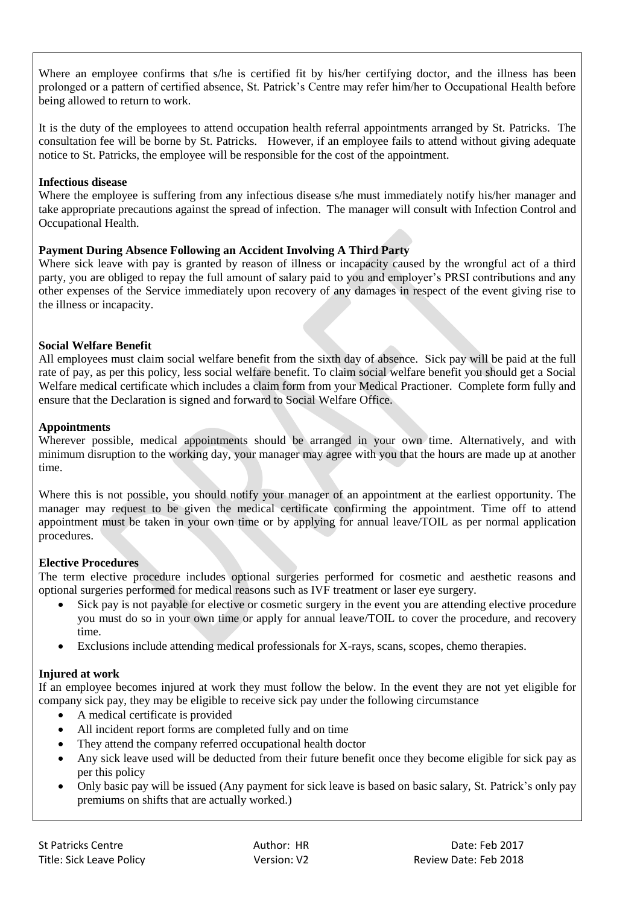Where an employee confirms that s/he is certified fit by his/her certifying doctor, and the illness has been prolonged or a pattern of certified absence, St. Patrick's Centre may refer him/her to Occupational Health before being allowed to return to work.

It is the duty of the employees to attend occupation health referral appointments arranged by St. Patricks. The consultation fee will be borne by St. Patricks. However, if an employee fails to attend without giving adequate notice to St. Patricks, the employee will be responsible for the cost of the appointment.

### **Infectious disease**

Where the employee is suffering from any infectious disease s/he must immediately notify his/her manager and take appropriate precautions against the spread of infection. The manager will consult with Infection Control and Occupational Health.

# **Payment During Absence Following an Accident Involving A Third Party**

Where sick leave with pay is granted by reason of illness or incapacity caused by the wrongful act of a third party, you are obliged to repay the full amount of salary paid to you and employer's PRSI contributions and any other expenses of the Service immediately upon recovery of any damages in respect of the event giving rise to the illness or incapacity.

# **Social Welfare Benefit**

All employees must claim social welfare benefit from the sixth day of absence. Sick pay will be paid at the full rate of pay, as per this policy, less social welfare benefit. To claim social welfare benefit you should get a Social Welfare medical certificate which includes a claim form from your Medical Practioner. Complete form fully and ensure that the Declaration is signed and forward to Social Welfare Office.

# **Appointments**

Wherever possible, medical appointments should be arranged in your own time. Alternatively, and with minimum disruption to the working day, your manager may agree with you that the hours are made up at another time.

Where this is not possible, you should notify your manager of an appointment at the earliest opportunity. The manager may request to be given the medical certificate confirming the appointment. Time off to attend appointment must be taken in your own time or by applying for annual leave/TOIL as per normal application procedures.

# **Elective Procedures**

The term elective procedure includes optional surgeries performed for cosmetic and aesthetic reasons and optional surgeries performed for medical reasons such as IVF treatment or laser eye surgery.

- Sick pay is not payable for elective or cosmetic surgery in the event you are attending elective procedure you must do so in your own time or apply for annual leave/TOIL to cover the procedure, and recovery time.
- Exclusions include attending medical professionals for X-rays, scans, scopes, chemo therapies.

# **Injured at work**

If an employee becomes injured at work they must follow the below. In the event they are not yet eligible for company sick pay, they may be eligible to receive sick pay under the following circumstance

- A medical certificate is provided
- All incident report forms are completed fully and on time
- They attend the company referred occupational health doctor
- Any sick leave used will be deducted from their future benefit once they become eligible for sick pay as per this policy
- Only basic pay will be issued (Any payment for sick leave is based on basic salary, St. Patrick's only pay premiums on shifts that are actually worked.)